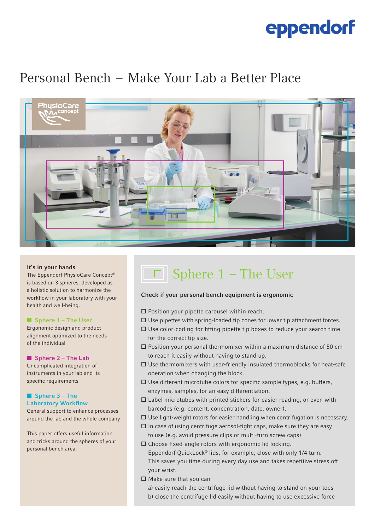# eppendorf

### Personal Bench  –  Make Your Lab a Better Place



### It's in your hands

The Eppendorf PhysioCare Concept® is based on 3 spheres, developed as a holistic solution to harmonize the workflow in your laboratory with your health and well-being.

### ■ Sphere 1 – The User

Ergonomic design and product alignment optimized to the needs of the individual

### ■ Sphere 2 – The Lab

Uncomplicated integration of instruments in your lab and its specific requirements

### ■ Sphere 3 – The Laboratory Workflow

General support to enhance processes around the lab and the whole company

This paper offers useful information and tricks around the spheres of your personal bench area.

## Sphere 1  – The User

### Check if your personal bench equipment is ergonomic

 $\square$  Position your pipette carousel within reach.

- $\Box$  Use pipettes with spring-loaded tip cones for lower tip attachment forces.
- $\square$  Use color-coding for fitting pipette tip boxes to reduce your search time for the correct tip size.
- $\square$  Position your personal thermomixer within a maximum distance of 50 cm to reach it easily without having to stand up.
- $\Box$  Use thermomixers with user-friendly insulated thermoblocks for heat-safe operation when changing the block.
- $\Box$  Use different microtube colors for specific sample types, e.g. buffers, enzymes, samples, for an easy differentiation.
- $\square$  Label microtubes with printed stickers for easier reading, or even with barcodes (e.g. content, concentration, date, owner).
- $\Box$  Use light-weight rotors for easier handling when centrifugation is necessary.
- $\Box$  In case of using centrifuge aerosol-tight caps, make sure they are easy to use (e.g. avoid pressure clips or multi-turn screw caps).

 $\square$  Choose fixed-angle rotors with ergonomic lid locking. Eppendorf QuickLock® lids, for example, close with only 1/4 turn. This saves you time during every day use and takes repetitive stress off your wrist.

 $\square$  Make sure that you can

a) easily reach the centrifuge lid without having to stand on your toes b) close the centrifuge lid easily without having to use excessive force